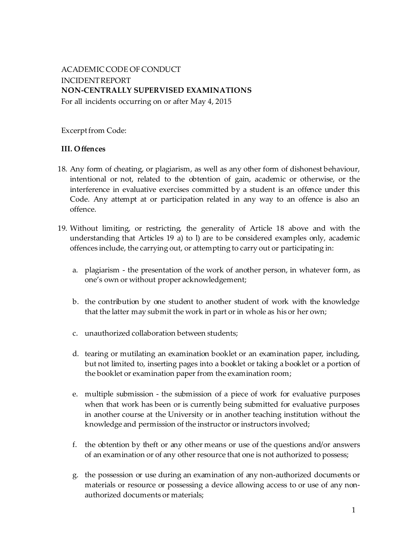# ACADEMIC CODE OF CONDUCT INCIDENTREPORT **NON-CENTRALLY SUPERVISED EXAMINATIONS**

For all incidents occurring on or after May 4, 2015

Excerpt from Code:

### **III. Offences**

- 18. Any form of cheating, or plagiarism, as well as any other form of dishonest behaviour, intentional or not, related to the obtention of gain, academic or otherwise, or the interference in evaluative exercises committed by a student is an offence under this Code. Any attempt at or participation related in any way to an offence is also an offence.
- 19. Without limiting, or restricting, the generality of Article 18 above and with the understanding that Articles 19 a) to l) are to be considered examples only, academic offences include, the carrying out, or attempting to carry out or participating in:
	- a. plagiarism the presentation of the work of another person, in whatever form, as one's own or without proper acknowledgement;
	- b. the contribution by one student to another student of work with the knowledge that the latter may submit the work in part or in whole as his or her own;
	- c. unauthorized collaboration between students;
	- d. tearing or mutilating an examination booklet or an examination paper, including, but not limited to, inserting pages into a booklet or taking a booklet or a portion of the booklet or examination paper from the examination room;
	- e. multiple submission the submission of a piece of work for evaluative purposes when that work has been or is currently being submitted for evaluative purposes in another course at the University or in another teaching institution without the knowledge and permission of the instructor or instructors involved;
	- f. the obtention by theft or any other means or use of the questions and/or answers of an examination or of any other resource that one is not authorized to possess;
	- g. the possession or use during an examination of any non-authorized documents or materials or resource or possessing a device allowing access to or use of any nonauthorized documents or materials;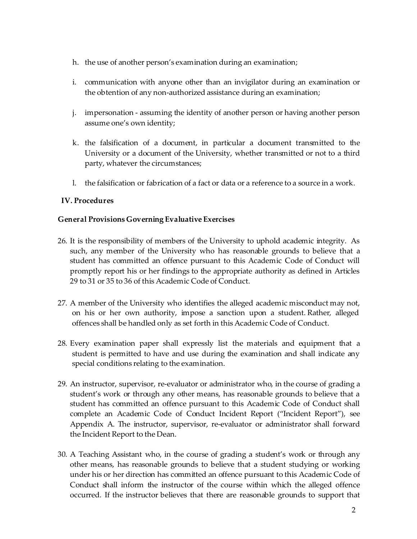- h. the use of another person's examination during an examination;
- i. communication with anyone other than an invigilator during an examination or the obtention of any non-authorized assistance during an examination;
- j. impersonation assuming the identity of another person or having another person assume one's own identity;
- k. the falsification of a document, in particular a document transmitted to the University or a document of the University, whether transmitted or not to a third party, whatever the circumstances;
- l. the falsification or fabrication of a fact or data or a reference to a source in a work.

## **IV. Procedures**

### **General Provisions Governing Evaluative Exercises**

- 26. It is the responsibility of members of the University to uphold academic integrity. As such, any member of the University who has reasonable grounds to believe that a student has committed an offence pursuant to this Academic Code of Conduct will promptly report his or her findings to the appropriate authority as defined in Articles 29 to 31 or 35 to 36 of this Academic Code of Conduct.
- 27. A member of the University who identifies the alleged academic misconduct may not, on his or her own authority, impose a sanction upon a student. Rather, alleged offences shall be handled only as set forth in this Academic Code of Conduct.
- 28. Every examination paper shall expressly list the materials and equipment that a student is permitted to have and use during the examination and shall indicate any special conditions relating to the examination.
- 29. An instructor, supervisor, re-evaluator or administrator who, in the course of grading a student's work or through any other means, has reasonable grounds to believe that a student has committed an offence pursuant to this Academic Code of Conduct shall complete an Academic Code of Conduct Incident Report ("Incident Report"), see Appendix A. The instructor, supervisor, re-evaluator or administrator shall forward the Incident Report to the Dean.
- 30. A Teaching Assistant who, in the course of grading a student's work or through any other means, has reasonable grounds to believe that a student studying or working under his or her direction has committed an offence pursuant to this Academic Code of Conduct shall inform the instructor of the course within which the alleged offence occurred. If the instructor believes that there are reasonable grounds to support that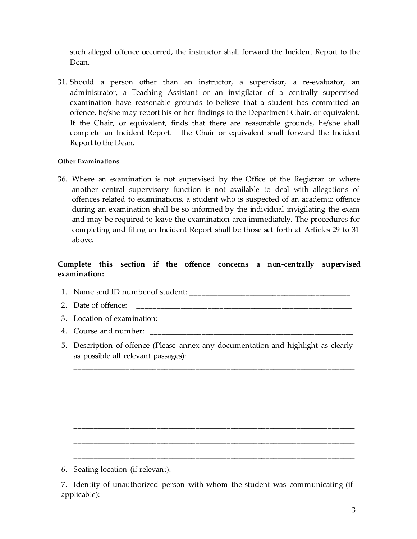such alleged offence occurred, the instructor shall forward the Incident Report to the Dean.

31. Should a person other than an instructor, a supervisor, a re-evaluator, an administrator, a Teaching Assistant or an invigilator of a centrally supervised examination have reasonable grounds to believe that a student has committed an offence, he/she may report his or her findings to the Department Chair, or equivalent. If the Chair, or equivalent, finds that there are reasonable grounds, he/she shall complete an Incident Report. The Chair or equivalent shall forward the Incident Report to the Dean.

#### **Other Examinations**

36. Where an examination is not supervised by the Office of the Registrar or where another central supervisory function is not available to deal with allegations of offences related to examinations, a student who is suspected of an academic offence during an examination shall be so informed by the individual invigilating the exam and may be required to leave the examination area immediately. The procedures for completing and filing an Incident Report shall be those set forth at Articles 29 to 31 above.

### **Complete this section if the offence concerns a non-centrally supervised examination:**

- 1. Name and ID number of student: \_\_\_\_\_\_\_\_\_\_\_\_\_\_\_\_\_\_\_\_\_\_\_\_\_\_\_\_\_\_\_\_\_\_\_\_\_\_\_\_\_
- 2. Date of offence: \_\_\_\_\_\_\_\_\_\_\_\_\_\_\_\_\_\_\_\_\_\_\_\_\_\_\_\_\_\_\_\_\_\_\_\_\_\_\_\_\_\_\_\_\_\_\_\_\_\_\_\_\_\_\_
- 3. Location of examination: \_\_\_\_\_\_\_\_\_\_\_\_\_\_\_\_\_\_\_\_\_\_\_\_\_\_\_\_\_\_\_\_\_\_\_\_\_\_\_\_\_\_\_\_\_\_\_\_\_
- 4. Course and number: \_\_\_\_\_\_\_\_\_\_\_\_\_\_\_\_\_\_\_\_\_\_\_\_\_\_\_\_\_\_\_\_\_\_\_\_\_\_\_\_\_\_\_\_\_\_\_\_\_\_\_\_
- 5. Description of offence (Please annex any documentation and highlight as clearly as possible all relevant passages):

\_\_\_\_\_\_\_\_\_\_\_\_\_\_\_\_\_\_\_\_\_\_\_\_\_\_\_\_\_\_\_\_\_\_\_\_\_\_\_\_\_\_\_\_\_\_\_\_\_\_\_\_\_\_\_\_\_\_\_\_\_\_\_\_\_\_\_\_\_\_\_\_

\_\_\_\_\_\_\_\_\_\_\_\_\_\_\_\_\_\_\_\_\_\_\_\_\_\_\_\_\_\_\_\_\_\_\_\_\_\_\_\_\_\_\_\_\_\_\_\_\_\_\_\_\_\_\_\_\_\_\_\_\_\_\_\_\_\_\_\_\_\_\_\_

\_\_\_\_\_\_\_\_\_\_\_\_\_\_\_\_\_\_\_\_\_\_\_\_\_\_\_\_\_\_\_\_\_\_\_\_\_\_\_\_\_\_\_\_\_\_\_\_\_\_\_\_\_\_\_\_\_\_\_\_\_\_\_\_\_\_\_\_\_\_\_\_

\_\_\_\_\_\_\_\_\_\_\_\_\_\_\_\_\_\_\_\_\_\_\_\_\_\_\_\_\_\_\_\_\_\_\_\_\_\_\_\_\_\_\_\_\_\_\_\_\_\_\_\_\_\_\_\_\_\_\_\_\_\_\_\_\_\_\_\_\_\_\_\_

\_\_\_\_\_\_\_\_\_\_\_\_\_\_\_\_\_\_\_\_\_\_\_\_\_\_\_\_\_\_\_\_\_\_\_\_\_\_\_\_\_\_\_\_\_\_\_\_\_\_\_\_\_\_\_\_\_\_\_\_\_\_\_\_\_\_\_\_\_\_\_\_

\_\_\_\_\_\_\_\_\_\_\_\_\_\_\_\_\_\_\_\_\_\_\_\_\_\_\_\_\_\_\_\_\_\_\_\_\_\_\_\_\_\_\_\_\_\_\_\_\_\_\_\_\_\_\_\_\_\_\_\_\_\_\_\_\_\_\_\_\_\_\_\_

\_\_\_\_\_\_\_\_\_\_\_\_\_\_\_\_\_\_\_\_\_\_\_\_\_\_\_\_\_\_\_\_\_\_\_\_\_\_\_\_\_\_\_\_\_\_\_\_\_\_\_\_\_\_\_\_\_\_\_\_\_\_\_\_\_\_\_\_\_\_\_\_

| 6. Seating location (if relevant): |  |
|------------------------------------|--|
|                                    |  |

7. Identity of unauthorized person with whom the student was communicating (if applicable):  $\frac{1}{\sqrt{2}}$